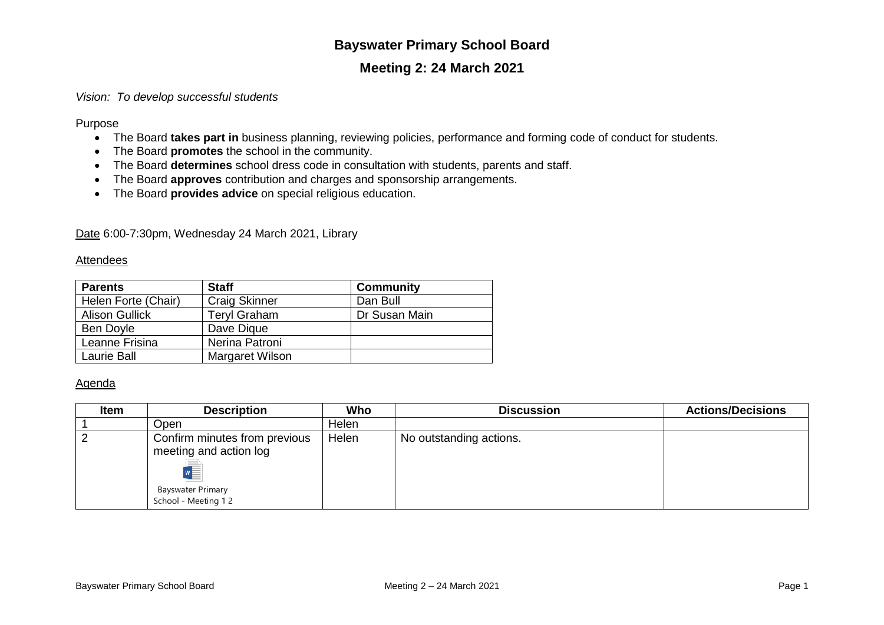## **Bayswater Primary School Board**

# **Meeting 2: 24 March 2021**

## *Vision: To develop successful students*

Purpose

- The Board **takes part in** business planning, reviewing policies, performance and forming code of conduct for students.
- The Board **promotes** the school in the community.
- The Board **determines** school dress code in consultation with students, parents and staff.
- The Board **approves** contribution and charges and sponsorship arrangements.
- The Board **provides advice** on special religious education.

Date 6:00-7:30pm, Wednesday 24 March 2021, Library

#### **Attendees**

| <b>Parents</b>        | <b>Staff</b>           | <b>Community</b> |  |
|-----------------------|------------------------|------------------|--|
| Helen Forte (Chair)   | <b>Craig Skinner</b>   | Dan Bull         |  |
| <b>Alison Gullick</b> | <b>Teryl Graham</b>    | Dr Susan Main    |  |
| Ben Doyle             | Dave Dique             |                  |  |
| Leanne Frisina        | Nerina Patroni         |                  |  |
| Laurie Ball           | <b>Margaret Wilson</b> |                  |  |

### Agenda

| <b>Item</b> | <b>Description</b>                                                                                         | Who   | <b>Discussion</b>       | <b>Actions/Decisions</b> |
|-------------|------------------------------------------------------------------------------------------------------------|-------|-------------------------|--------------------------|
|             | Open                                                                                                       | Helen |                         |                          |
|             | Confirm minutes from previous<br>meeting and action log<br><b>Bayswater Primary</b><br>School - Meeting 12 | Helen | No outstanding actions. |                          |